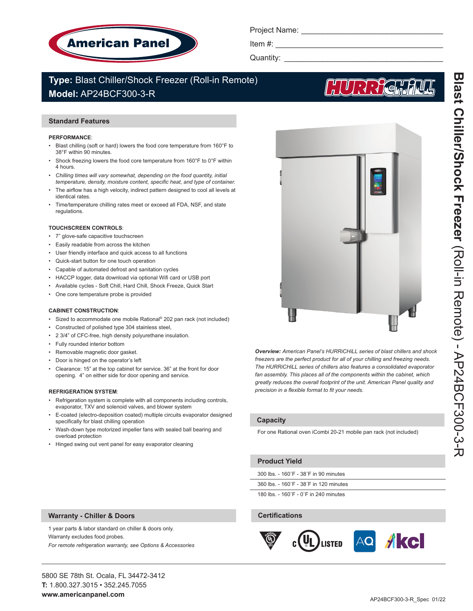

Project Name: **Example** 

Item  $#$ :

Quantity: \_\_\_\_\_\_\_\_\_\_\_\_\_\_\_\_\_\_\_\_\_\_\_\_\_\_\_\_\_\_\_\_\_\_\_\_\_

# **Type:** Blast Chiller/Shock Freezer (Roll-in Remote) **Model:** AP24BCF300-3-R

# **Standard Features**

#### **PERFORMANCE**:

- Blast chilling (soft or hard) lowers the food core temperature from 160°F to 38°F within 90 minutes.
- Shock freezing lowers the food core temperature from 160°F to 0°F within 4 hours.
- Chilling times will vary somewhat, depending on the food quantity, initial *temperature, density, moisture content, specific heat, and type of container.*
- The airflow has a high velocity, indirect pattern designed to cool all levels at identical rates.
- Time/temperature chilling rates meet or exceed all FDA, NSF, and state regulations.

# **TOUCHSCREEN CONTROLS**:

- 7" glove-safe capacitive touchscreen
- Easily readable from across the kitchen
- User friendly interface and quick access to all functions
- Quick-start button for one touch operation
- Capable of automated defrost and sanitation cycles
- HACCP logger, data download via optional Wifi card or USB port
- Available cycles Soft Chill, Hard Chill, Shock Freeze, Quick Start
- One core temperature probe is provided

# **CABINET CONSTRUCTION**:

- Sized to accommodate one mobile Rational® 202 pan rack (not included)
- Constructed of polished type 304 stainless steel,
- 2 3/4" of CFC-free, high density polyurethane insulation.
- Fully rounded interior bottom
- Removable magnetic door gasket.
- Door is hinged on the operator's left
- Clearance: 15" at the top cabinet for service. 36" at the front for door opening. 4" on either side for door opening and service.

# **REFRIGERATION SYSTEM**:

- Refrigeration system is complete with all components including controls, evaporator, TXV and solenoid valves, and blower system
- E-coated (electro-deposition coated) multiple circuits evaporator designed specifically for blast chilling operation
- Wash-down type motorized impeller fans with sealed ball bearing and overload protection
- Hinged swing out vent panel for easy evaporator cleaning

*Overview: American Panel's HURRiCHiLL series of blast chillers and shock freezers are the perfect product for all of your chilling and freezing needs. The HURRiCHiLL series of chillers also features a consolidated evaporator fan assembly. This places all of the components within the cabinet, which greatly reduces the overall footprint of the unit. American Panel quality and* 

# **Capacity**

For one Rational oven iCombi 20-21 mobile pan rack (not included)

# **Product Yield**

300 lbs. - 160˚F - 38˚F in 90 minutes

*precision in a flexible format to fit your needs.* 

360 lbs. - 160˚F - 38˚F in 120 minutes

180 lbs. - 160˚F - 0˚F in 240 minutes

# **Certifications**



1 year parts & labor standard on chiller & doors only.

*For remote refrigeration warranty, see Options & Accessories*

**Warranty - Chiller & Doors**

Warranty excludes food probes.